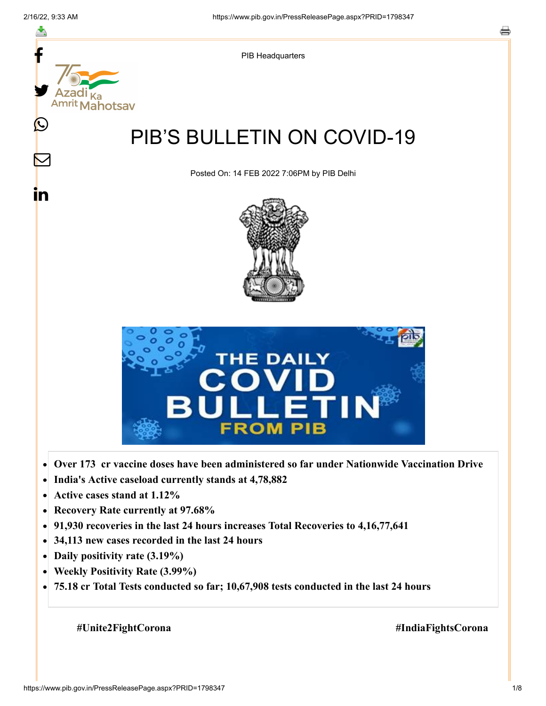

- **Active cases stand at 1.12%**  $\bullet$
- **Recovery Rate currently at 97.68%**  $\bullet$
- **91,930 recoveries in the last 24 hours increases Total Recoveries to 4,16,77,641**  $\bullet$
- **34,113 new cases recorded in the last 24 hours**  $\bullet$
- **Daily positivity rate (3.19%)**  $\bullet$
- **Weekly Positivity Rate (3.99%)**  $\bullet$
- **75.18 cr Total Tests conducted so far; 10,67,908 tests conducted in the last 24 hours**  $\bullet$

 **#Unite2FightCorona #IndiaFightsCorona**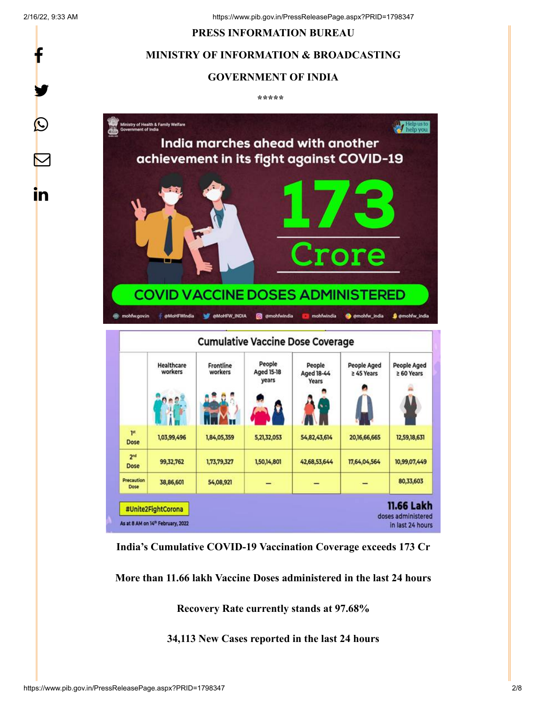f

y.

 $\bigcirc$ 

 $\bm{\nabla}$ 

<u>in</u>

#### **PRESS INFORMATION BUREAU**

### **MINISTRY OF INFORMATION & BROADCASTING**

#### **GOVERNMENT OF INDIA**

**\*\*\*\*\*** 



**India's Cumulative COVID-19 Vaccination Coverage exceeds 173 Cr**

**More than 11.66 lakh Vaccine Doses administered in the last 24 hours**

**Recovery Rate currently stands at 97.68%**

**34,113 New Cases reported in the last 24 hours**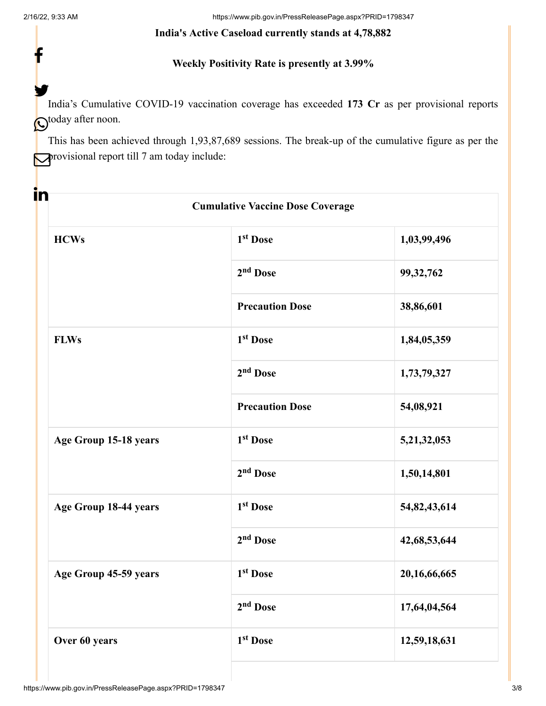f

<u>in</u>

#### **India's Active Caseload currently stands at 4,78,882**

## **Weekly Positivity Rate is presently at 3.99%**

India's Cumulative COVID-19 vaccination coverage has exceeded **173 Cr** as per provisional reports  $\mathbf{\mathbb{C}}$ today after noon. y.

This has been achieved through 1,93,87,689 sessions. The break-up of the cumulative figure as per the **P**rovisional report till 7 am today include:

| <b>Cumulative Vaccine Dose Coverage</b> |                        |                 |  |
|-----------------------------------------|------------------------|-----------------|--|
| <b>HCWs</b>                             | 1 <sup>st</sup> Dose   | 1,03,99,496     |  |
|                                         | 2 <sup>nd</sup> Dose   | 99, 32, 762     |  |
|                                         | <b>Precaution Dose</b> | 38,86,601       |  |
| <b>FLWs</b>                             | 1 <sup>st</sup> Dose   | 1,84,05,359     |  |
|                                         | 2 <sup>nd</sup> Dose   | 1,73,79,327     |  |
|                                         | <b>Precaution Dose</b> | 54,08,921       |  |
| Age Group 15-18 years                   | 1 <sup>st</sup> Dose   | 5,21,32,053     |  |
|                                         | 2 <sup>nd</sup> Dose   | 1,50,14,801     |  |
| Age Group 18-44 years                   | 1 <sup>st</sup> Dose   | 54,82,43,614    |  |
|                                         | $2nd$ Dose             | 42, 68, 53, 644 |  |
| Age Group 45-59 years                   | 1 <sup>st</sup> Dose   | 20,16,66,665    |  |
|                                         | 2 <sup>nd</sup> Dose   | 17,64,04,564    |  |
| Over 60 years                           | 1 <sup>st</sup> Dose   | 12,59,18,631    |  |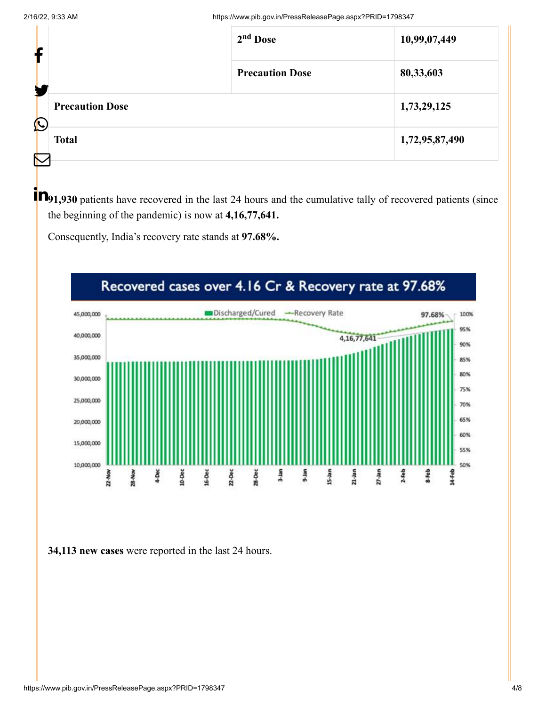| f          |                        | $2nd$ Dose             | 10,99,07,449   |
|------------|------------------------|------------------------|----------------|
|            |                        | <b>Precaution Dose</b> | 80,33,603      |
| $\bigcirc$ | <b>Precaution Dose</b> |                        | 1,73,29,125    |
| $\sum$     | <b>Total</b>           |                        | 1,72,95,87,490 |

**P**<sub>1,930</sub> patients have recovered in the last 24 hours and the cumulative tally of recovered patients (since the beginning of the pandemic) is now at **4,16,77,641.**

Consequently, India's recovery rate stands at **97.68%.**



**34,113 new cases** were reported in the last 24 hours.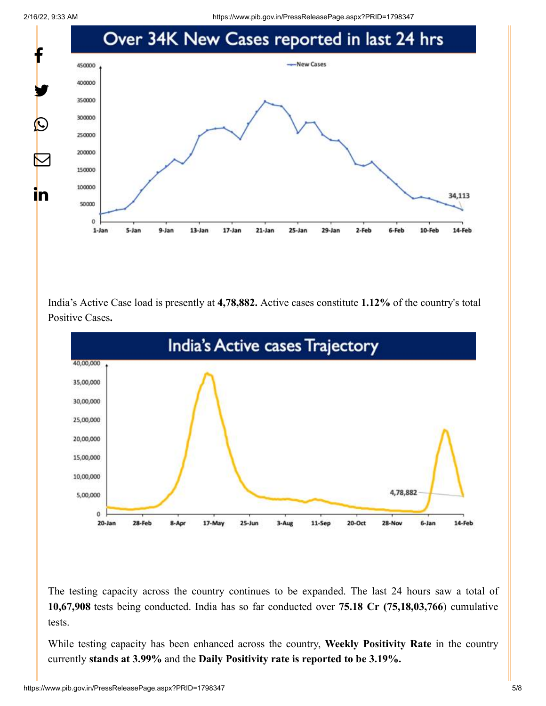2/16/22, 9:33 AM https://www.pib.gov.in/PressReleasePage.aspx?PRID=1798347



India's Active Case load is presently at **4,78,882.** Active cases constitute **1.12%** of the country's total Positive Cases**.**



The testing capacity across the country continues to be expanded. The last 24 hours saw a total of **10,67,908** tests being conducted. India has so far conducted over **75.18 Cr (75,18,03,766**) cumulative tests.

While testing capacity has been enhanced across the country, **Weekly Positivity Rate** in the country currently **stands at 3.99%** and the **Daily Positivity rate is reported to be 3.19%.**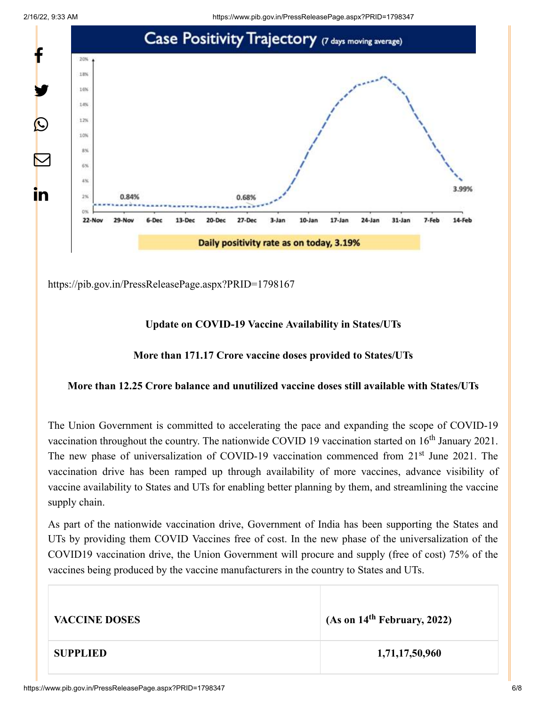2/16/22, 9:33 AM https://www.pib.gov.in/PressReleasePage.aspx?PRID=1798347



<https://pib.gov.in/PressReleasePage.aspx?PRID=1798167>

# **Update on COVID-19 Vaccine Availability in States/UTs**

## **More than 171.17 Crore vaccine doses provided to States/UTs**

# **More than 12.25 Crore balance and unutilized vaccine doses still available with States/UTs**

The Union Government is committed to accelerating the pace and expanding the scope of COVID-19 vaccination throughout the country. The nationwide COVID 19 vaccination started on  $16<sup>th</sup>$  January 2021. The new phase of universalization of COVID-19 vaccination commenced from 21<sup>st</sup> June 2021. The vaccination drive has been ramped up through availability of more vaccines, advance visibility of vaccine availability to States and UTs for enabling better planning by them, and streamlining the vaccine supply chain.

As part of the nationwide vaccination drive, Government of India has been supporting the States and UTs by providing them COVID Vaccines free of cost. In the new phase of the universalization of the COVID19 vaccination drive, the Union Government will procure and supply (free of cost) 75% of the vaccines being produced by the vaccine manufacturers in the country to States and UTs.

| <b>VACCINE DOSES</b> | (As on $14th$ February, 2022) |
|----------------------|-------------------------------|
| <b>SUPPLIED</b>      | 1,71,17,50,960                |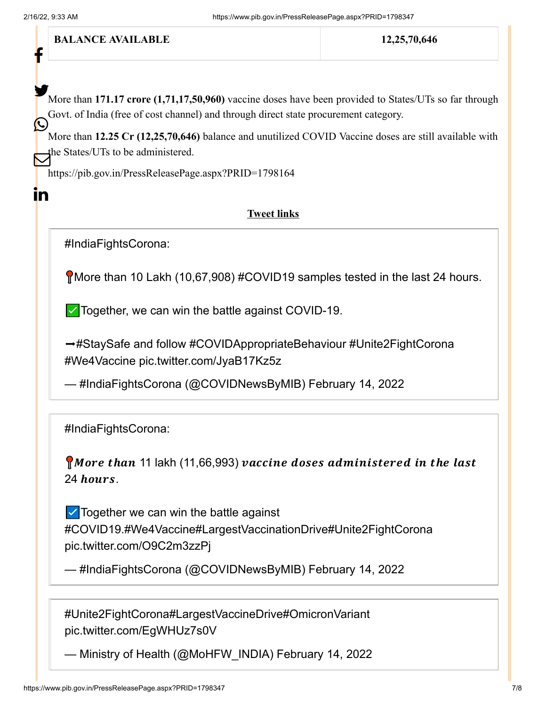f

 $\mathbf{in}$ 

**BALANCE AVAILABLE** 12,25,70,646

More than **171.17 crore** (1,71,17,50,960) vaccine doses have been provided to States/UTs so far through Govt. of India (free of cost channel) and through direct state procurement category.  $\bigodot$ 

More than **12.25 Cr (12,25,70,646)** balance and unutilized COVID Vaccine doses are still available with the States/UTs to be administered.

<https://pib.gov.in/PressReleasePage.aspx?PRID=1798164>

#### **Tweet links**

[#IndiaFightsCorona](https://twitter.com/hashtag/IndiaFightsCorona?src=hash&ref_src=twsrc%5Etfw):

More than 10 Lakh (10,67,908) [#COVID19](https://twitter.com/hashtag/COVID19?src=hash&ref_src=twsrc%5Etfw) samples tested in the last 24 hours.

 $\triangledown$  Together, we can win the battle against COVID-19.

→[#StaySafe](https://twitter.com/hashtag/StaySafe?src=hash&ref_src=twsrc%5Etfw) and follow [#COVIDAppropriateBehaviour](https://twitter.com/hashtag/COVIDAppropriateBehaviour?src=hash&ref_src=twsrc%5Etfw) [#Unite2FightCorona](https://twitter.com/hashtag/Unite2FightCorona?src=hash&ref_src=twsrc%5Etfw) [#We4Vaccine](https://twitter.com/hashtag/We4Vaccine?src=hash&ref_src=twsrc%5Etfw) [pic.twitter.com/JyaB17Kz5z](https://t.co/JyaB17Kz5z)

— #IndiaFightsCorona (@COVIDNewsByMIB) [February 14, 2022](https://twitter.com/COVIDNewsByMIB/status/1493133435342589954?ref_src=twsrc%5Etfw)

[#IndiaFightsCorona](https://twitter.com/hashtag/IndiaFightsCorona?src=hash&ref_src=twsrc%5Etfw):

**More than** 11 lakh (11,66,993) vaccine doses administered in the last  $24$  hours.

☑️Together we can win the battle against [#COVID19](https://twitter.com/hashtag/COVID19?src=hash&ref_src=twsrc%5Etfw)[.#We4Vaccine](https://twitter.com/hashtag/We4Vaccine?src=hash&ref_src=twsrc%5Etfw)[#LargestVaccinationDrive](https://twitter.com/hashtag/LargestVaccinationDrive?src=hash&ref_src=twsrc%5Etfw)[#Unite2FightCorona](https://twitter.com/hashtag/Unite2FightCorona?src=hash&ref_src=twsrc%5Etfw) [pic.twitter.com/O9C2m3zzPj](https://t.co/O9C2m3zzPj)

```
— #IndiaFightsCorona (@COVIDNewsByMIB) February 14, 2022
```
[#Unite2FightCorona](https://twitter.com/hashtag/Unite2FightCorona?src=hash&ref_src=twsrc%5Etfw)[#LargestVaccineDrive](https://twitter.com/hashtag/LargestVaccineDrive?src=hash&ref_src=twsrc%5Etfw)[#OmicronVariant](https://twitter.com/hashtag/OmicronVariant?src=hash&ref_src=twsrc%5Etfw) [pic.twitter.com/EgWHUz7s0V](https://t.co/EgWHUz7s0V)

— Ministry of Health (@MoHFW\_INDIA) [February 14, 2022](https://twitter.com/MoHFW_INDIA/status/1493098432650956800?ref_src=twsrc%5Etfw)